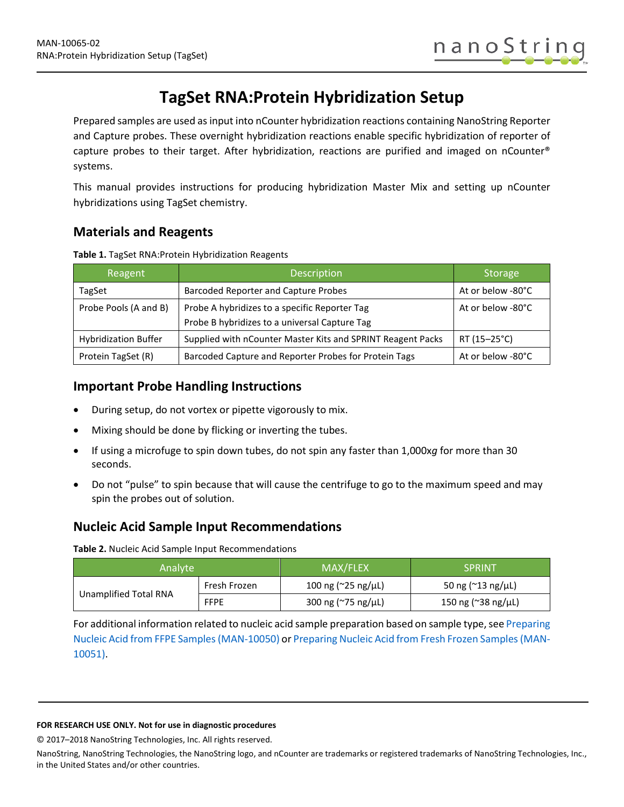# **TagSet RNA:Protein Hybridization Setup**

Prepared samples are used as input into nCounter hybridization reactions containing NanoString Reporter and Capture probes. These overnight hybridization reactions enable specific hybridization of reporter of capture probes to their target. After hybridization, reactions are purified and imaged on nCounter® systems.

This manual provides instructions for producing hybridization Master Mix and setting up nCounter hybridizations using TagSet chemistry.

### **Materials and Reagents**

|  | Table 1. TagSet RNA: Protein Hybridization Reagents |  |
|--|-----------------------------------------------------|--|
|  |                                                     |  |

| Reagent                                                                     | <b>Description</b>                                          | Storage           |
|-----------------------------------------------------------------------------|-------------------------------------------------------------|-------------------|
| TagSet                                                                      | Barcoded Reporter and Capture Probes                        | At or below -80°C |
| Probe Pools (A and B)                                                       | Probe A hybridizes to a specific Reporter Tag               | At or below -80°C |
|                                                                             | Probe B hybridizes to a universal Capture Tag               |                   |
| <b>Hybridization Buffer</b>                                                 | Supplied with nCounter Master Kits and SPRINT Reagent Packs | RT (15-25°C)      |
| Barcoded Capture and Reporter Probes for Protein Tags<br>Protein TagSet (R) |                                                             | At or below -80°C |

### **Important Probe Handling Instructions**

- During setup, do not vortex or pipette vigorously to mix.
- Mixing should be done by flicking or inverting the tubes.
- If using a microfuge to spin down tubes, do not spin any faster than 1,000x*g* for more than 30 seconds.
- Do not "pulse" to spin because that will cause the centrifuge to go to the maximum speed and may spin the probes out of solution.

## **Nucleic Acid Sample Input Recommendations**

<span id="page-0-0"></span>**Table 2.** Nucleic Acid Sample Input Recommendations

| <b>Analyte</b>        |              | MAX/FLEX                 | <b>SPRINT</b>            |
|-----------------------|--------------|--------------------------|--------------------------|
|                       | Fresh Frozen | 100 ng (~25 ng/ $\mu$ L) | 50 ng (~13 ng/µL)        |
| Unamplified Total RNA | <b>FFPE</b>  | 300 ng (~75 ng/ $\mu$ L) | 150 ng (~38 ng/ $\mu$ L) |

For additional information related to nucleic acid sample preparation based on sample type, se[e Preparing](https://www.nanostring.com/download_file/view/867/3778)  [Nucleic Acid from FFPE Samples \(MAN-10050\)](https://www.nanostring.com/download_file/view/867/3778) or [Preparing Nucleic Acid from Fresh Frozen Samples \(MAN-](https://www.nanostring.com/download_file/view/860/3778)[10051\).](https://www.nanostring.com/download_file/view/860/3778)

#### **FOR RESEARCH USE ONLY. Not for use in diagnostic procedures**

© 2017–2018 NanoString Technologies, Inc. All rights reserved.

NanoString, NanoString Technologies, the NanoString logo, and nCounter are trademarks or registered trademarks of NanoString Technologies, Inc., in the United States and/or other countries.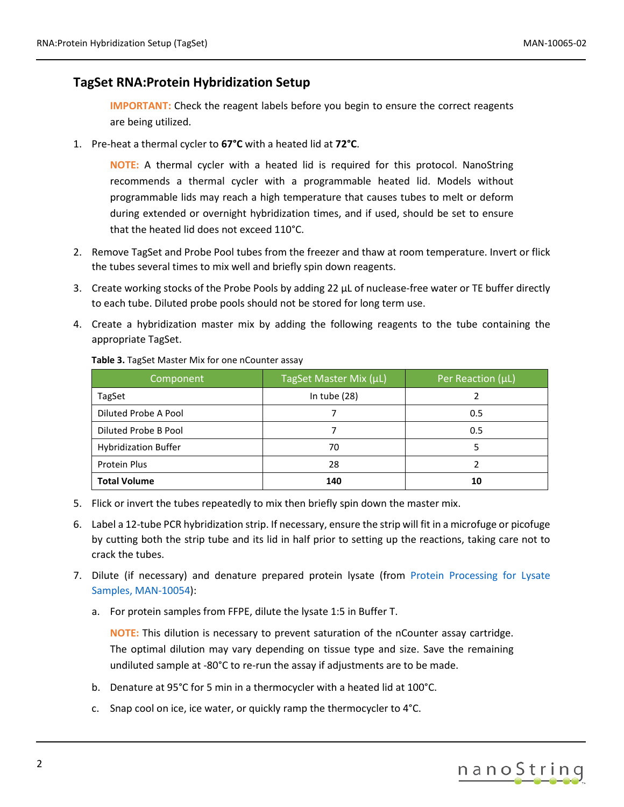### **TagSet RNA:Protein Hybridization Setup**

**IMPORTANT:** Check the reagent labels before you begin to ensure the correct reagents are being utilized.

1. Pre-heat a thermal cycler to **67°C** with a heated lid at **72°C**.

**NOTE:** A thermal cycler with a heated lid is required for this protocol. NanoString recommends a thermal cycler with a programmable heated lid. Models without programmable lids may reach a high temperature that causes tubes to melt or deform during extended or overnight hybridization times, and if used, should be set to ensure that the heated lid does not exceed 110°C.

- 2. Remove TagSet and Probe Pool tubes from the freezer and thaw at room temperature. Invert or flick the tubes several times to mix well and briefly spin down reagents.
- 3. Create working stocks of the Probe Pools by adding 22 μL of nuclease-free water or TE buffer directly to each tube. Diluted probe pools should not be stored for long term use.
- 4. Create a hybridization master mix by adding the following reagents to the tube containing the appropriate TagSet.

| Component                   | TagSet Master Mix (µL) | Per Reaction (µL) |
|-----------------------------|------------------------|-------------------|
| TagSet                      | In tube (28)           |                   |
| Diluted Probe A Pool        |                        | 0.5               |
| Diluted Probe B Pool        |                        | 0.5               |
| <b>Hybridization Buffer</b> | 70                     |                   |
| Protein Plus                | 28                     |                   |
| <b>Total Volume</b>         | 140                    | 10                |

#### **Table 3.** TagSet Master Mix for one nCounter assay

- 5. Flick or invert the tubes repeatedly to mix then briefly spin down the master mix.
- 6. Label a 12-tube PCR hybridization strip. If necessary, ensure the strip will fit in a microfuge or picofuge by cutting both the strip tube and its lid in half prior to setting up the reactions, taking care not to crack the tubes.
- 7. Dilute (if necessary) and denature prepared protein lysate (from [Protein Processing for Lysate](https://www.nanostring.com/download_file/view/865/3778)  [Samples, MAN-10054\)](https://www.nanostring.com/download_file/view/865/3778):
	- a. For protein samples from FFPE, dilute the lysate 1:5 in Buffer T.

**NOTE:** This dilution is necessary to prevent saturation of the nCounter assay cartridge. The optimal dilution may vary depending on tissue type and size. Save the remaining undiluted sample at -80°C to re-run the assay if adjustments are to be made.

- b. Denature at 95°C for 5 min in a thermocycler with a heated lid at 100°C.
- c. Snap cool on ice, ice water, or quickly ramp the thermocycler to 4°C.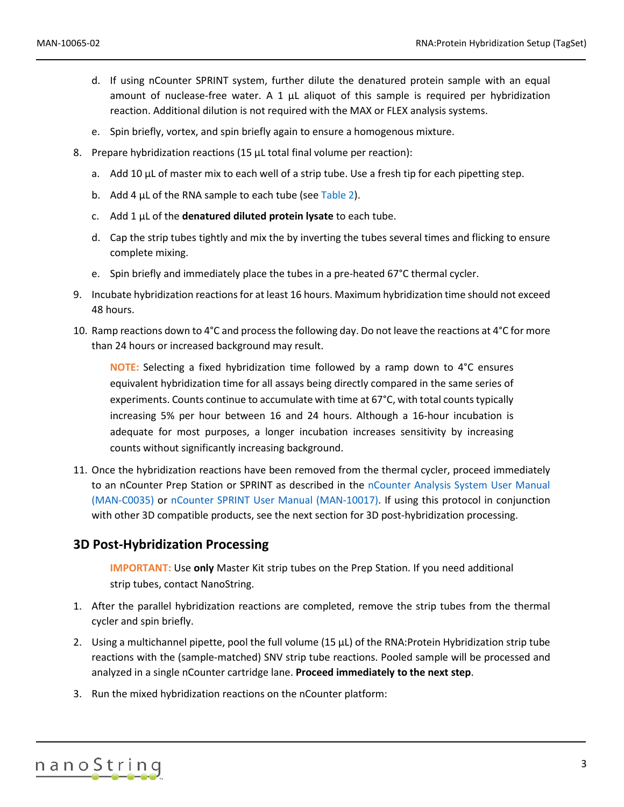- d. If using nCounter SPRINT system, further dilute the denatured protein sample with an equal amount of nuclease-free water. A 1  $\mu$ L aliquot of this sample is required per hybridization reaction. Additional dilution is not required with the MAX or FLEX analysis systems.
- e. Spin briefly, vortex, and spin briefly again to ensure a homogenous mixture.
- 8. Prepare hybridization reactions (15 µL total final volume per reaction):
	- a. Add 10 μL of master mix to each well of a strip tube. Use a fresh tip for each pipetting step.
	- b. Add 4  $\mu$ L of the RNA sample to each tube (see [Table 2\)](#page-0-0).
	- c. Add 1 μL of the **denatured diluted protein lysate** to each tube.
	- d. Cap the strip tubes tightly and mix the by inverting the tubes several times and flicking to ensure complete mixing.
	- e. Spin briefly and immediately place the tubes in a pre-heated 67°C thermal cycler.
- 9. Incubate hybridization reactions for at least 16 hours. Maximum hybridization time should not exceed 48 hours.
- 10. Ramp reactions down to 4°C and process the following day. Do not leave the reactions at 4°C for more than 24 hours or increased background may result.

**NOTE:** Selecting a fixed hybridization time followed by a ramp down to 4°C ensures equivalent hybridization time for all assays being directly compared in the same series of experiments. Counts continue to accumulate with time at 67°C, with total counts typically increasing 5% per hour between 16 and 24 hours. Although a 16-hour incubation is adequate for most purposes, a longer incubation increases sensitivity by increasing counts without significantly increasing background.

11. Once the hybridization reactions have been removed from the thermal cycler, proceed immediately to an nCounter Prep Station or SPRINT as described in the [nCounter Analysis System User Manual](https://www.nanostring.com/download_file/view/256/3778)  [\(MAN-C0035\)](https://www.nanostring.com/download_file/view/256/3778) or [nCounter SPRINT User Manual \(MAN-10017\).](https://www.nanostring.com/download_file/view/254/3778) If using this protocol in conjunction with other 3D compatible products, see the next section for 3D post-hybridization processing.

### **3D Post-Hybridization Processing**

**IMPORTANT:** Use **only** Master Kit strip tubes on the Prep Station. If you need additional strip tubes, contact NanoString.

- 1. After the parallel hybridization reactions are completed, remove the strip tubes from the thermal cycler and spin briefly.
- 2. Using a multichannel pipette, pool the full volume (15 μL) of the RNA:Protein Hybridization strip tube reactions with the (sample-matched) SNV strip tube reactions. Pooled sample will be processed and analyzed in a single nCounter cartridge lane. **Proceed immediately to the next step**.
- 3. Run the mixed hybridization reactions on the nCounter platform: